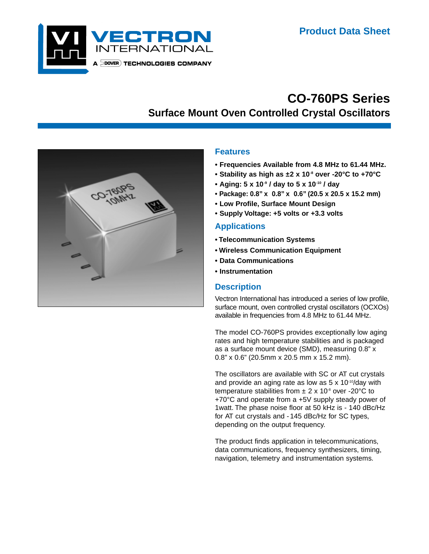

# **CO-760PS Series Surface Mount Oven Controlled Crystal Oscillators**



### **Features**

- **Frequencies Available from 4.8 MHz to 61.44 MHz.**
- **Stability as high as ±2 x 10-8 over -20°C to +70°C**
- **Aging: 5 x 10-9 / day to 5 x 10-10 / day**
- **Package: 0.8" x 0.8" x 0.6" (20.5 x 20.5 x 15.2 mm)**
- **Low Profile, Surface Mount Design**
- **Supply Voltage: +5 volts or +3.3 volts**

### **Applications**

- **Telecommunication Systems**
- **Wireless Communication Equipment**
- **Data Communications**
- **Instrumentation**

#### **Description**

Vectron International has introduced a series of low profile, surface mount, oven controlled crystal oscillators (OCXOs) available in frequencies from 4.8 MHz to 61.44 MHz.

The model CO-760PS provides exceptionally low aging rates and high temperature stabilities and is packaged as a surface mount device (SMD), measuring 0.8" x 0.8" x 0.6" (20.5mm x 20.5 mm x 15.2 mm).

The oscillators are available with SC or AT cut crystals and provide an aging rate as low as  $5 \times 10^{-10}$ /day with temperature stabilities from  $\pm 2 \times 10^8$  over -20°C to +70°C and operate from a +5V supply steady power of 1watt. The phase noise floor at 50 kHz is - 140 dBc/Hz for AT cut crystals and -145 dBc/Hz for SC types, depending on the output frequency.

The product finds application in telecommunications, data communications, frequency synthesizers, timing, navigation, telemetry and instrumentation systems.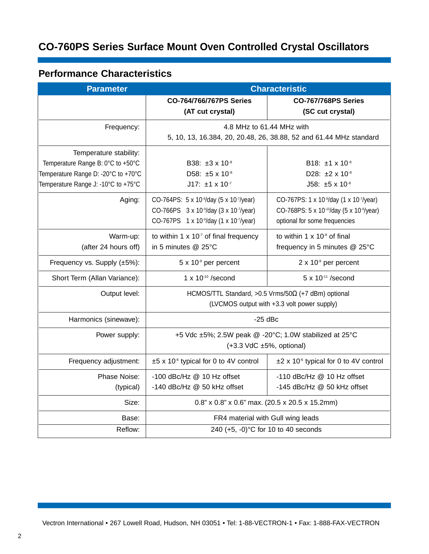# **CO-760PS Series Surface Mount Oven Controlled Crystal Oscillators**

# **Performance Characteristics**

| <b>Parameter</b>                    | <b>Characteristic</b>                                               |                                                                  |
|-------------------------------------|---------------------------------------------------------------------|------------------------------------------------------------------|
|                                     | <b>CO-764/766/767PS Series</b>                                      | <b>CO-767/768PS Series</b>                                       |
|                                     | (AT cut crystal)                                                    | (SC cut crystal)                                                 |
| Frequency:                          | 4.8 MHz to 61.44 MHz with                                           |                                                                  |
|                                     | 5, 10, 13, 16.384, 20, 20.48, 26, 38.88, 52 and 61.44 MHz standard  |                                                                  |
| Temperature stability:              |                                                                     |                                                                  |
| Temperature Range B: 0°C to +50°C   | B38: $\pm 3 \times 10^{-8}$                                         | B18: ±1 x 10 <sup>-8</sup>                                       |
| Temperature Range D: -20°C to +70°C | D58: ±5 x 10-8                                                      | D28: ±2 x 10-8                                                   |
| Temperature Range J: -10°C to +75°C | $J17: \pm 1 \times 10^{-7}$                                         | $J58: \pm 5 \times 10^{-8}$                                      |
| Aging:                              | CO-764PS: 5 x 10 <sup>-9</sup> /day (5 x 10 <sup>-7</sup> /year)    | CO-767PS: 1 x 10 <sup>-9</sup> /day (1 x 10 <sup>-7</sup> /year) |
|                                     | CO-766PS 3 x 10 <sup>-9</sup> /day (3 x 10 <sup>-7</sup> /year)     | CO-768PS: 5 x 10-10/day (5 x 10-8/year)                          |
|                                     | CO-767PS 1 x 10 <sup>-9</sup> /day (1 x 10 <sup>-7</sup> /year)     | optional for some frequencies                                    |
| Warm-up:                            | to within 1 $\times$ 10 <sup>-7</sup> of final frequency            | to within $1 \times 10^{3}$ of final                             |
| (after 24 hours off)                | in 5 minutes @ 25°C                                                 | frequency in 5 minutes @ 25°C                                    |
| Frequency vs. Supply (±5%):         | $5 \times 10^9$ per percent                                         | $2 \times 10^9$ per percent                                      |
| Short Term (Allan Variance):        | $1 \times 10^{-10}$ /second                                         | 5 x 10-11 /second                                                |
| Output level:                       | HCMOS/TTL Standard, $>0.5$ Vrms/50 $\Omega$ (+7 dBm) optional       |                                                                  |
|                                     | (LVCMOS output with +3.3 volt power supply)                         |                                                                  |
| Harmonics (sinewave):               | $-25$ dBc                                                           |                                                                  |
| Power supply:                       | +5 Vdc ±5%; 2.5W peak @ -20°C; 1.0W stabilized at 25°C              |                                                                  |
|                                     | $(+3.3 \text{ VdC } \pm 5\%, \text{ optional})$                     |                                                                  |
| Frequency adjustment:               | $±5$ x 10 <sup><math>\circ</math></sup> typical for 0 to 4V control | $\pm 2 \times 10^{6}$ typical for 0 to 4V control                |
| Phase Noise:                        | -100 dBc/Hz @ 10 Hz offset                                          | -110 dBc/Hz @ 10 Hz offset                                       |
| (typical)                           | -140 dBc/Hz @ 50 kHz offset                                         | -145 dBc/Hz @ 50 kHz offset                                      |
| Size:                               | 0.8" x 0.8" x 0.6" max. (20.5 x 20.5 x 15.2mm)                      |                                                                  |
| Base:                               | FR4 material with Gull wing leads                                   |                                                                  |
| Reflow:                             | 240 (+5, -0)°C for 10 to 40 seconds                                 |                                                                  |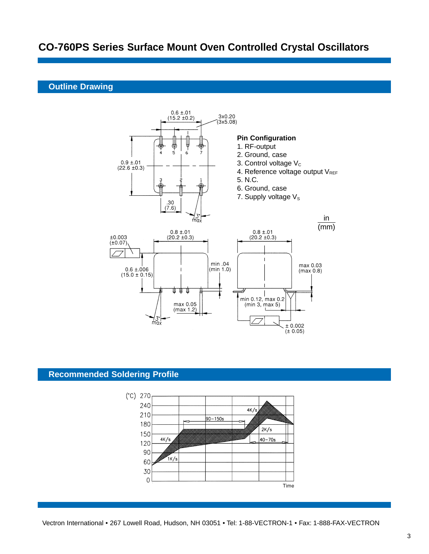## **CO-760PS Series Surface Mount Oven Controlled Crystal Oscillators**

#### **Outline Drawing**



### **Recommended Soldering Profile**